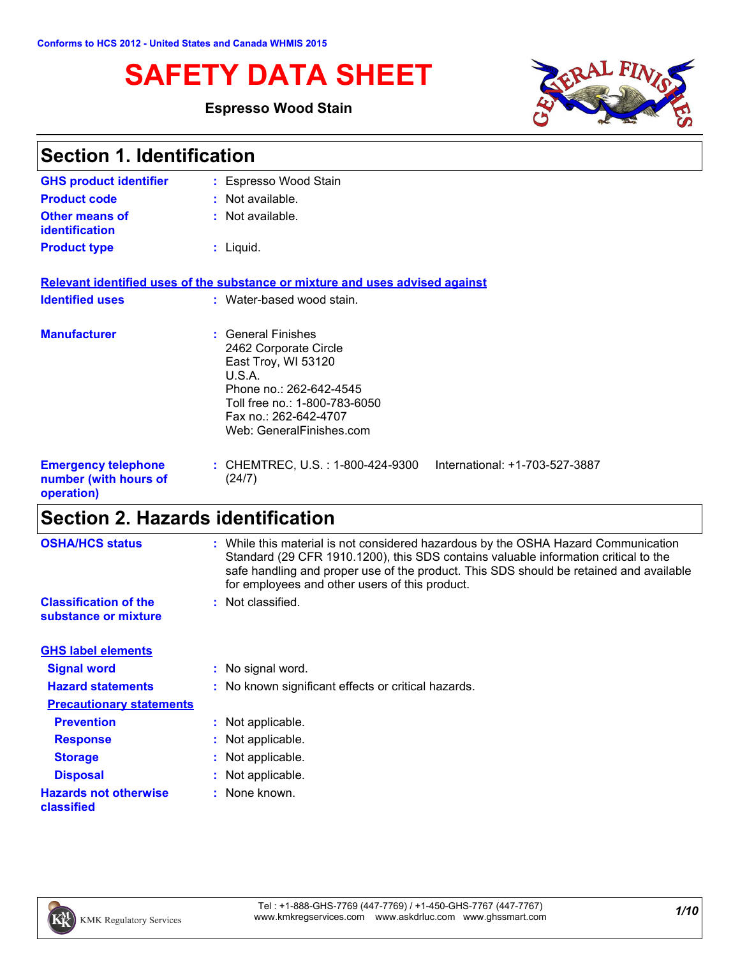# **SAFETY DATA SHEET**

### **Espresso Wood Stain**



| <b>Section 1. Identification</b>                                  |                                                                                                                                                                                               |  |
|-------------------------------------------------------------------|-----------------------------------------------------------------------------------------------------------------------------------------------------------------------------------------------|--|
| <b>GHS product identifier</b>                                     | : Espresso Wood Stain                                                                                                                                                                         |  |
| <b>Product code</b>                                               | $:$ Not available.                                                                                                                                                                            |  |
| <b>Other means of</b><br>identification                           | : Not available.                                                                                                                                                                              |  |
| <b>Product type</b>                                               | $:$ Liquid.                                                                                                                                                                                   |  |
|                                                                   | Relevant identified uses of the substance or mixture and uses advised against                                                                                                                 |  |
| <b>Identified uses</b>                                            | : Water-based wood stain.                                                                                                                                                                     |  |
| <b>Manufacturer</b>                                               | : General Finishes<br>2462 Corporate Circle<br>East Troy, WI 53120<br>U.S.A.<br>Phone no.: 262-642-4545<br>Toll free no.: 1-800-783-6050<br>Fax no.: 262-642-4707<br>Web: GeneralFinishes.com |  |
| <b>Emergency telephone</b><br>number (with hours of<br>operation) | : CHEMTREC, U.S. : 1-800-424-9300<br>International: +1-703-527-3887<br>(24/7)                                                                                                                 |  |

# **Section 2. Hazards identification**

| <b>OSHA/HCS status</b>                               | : While this material is not considered hazardous by the OSHA Hazard Communication<br>Standard (29 CFR 1910.1200), this SDS contains valuable information critical to the<br>safe handling and proper use of the product. This SDS should be retained and available |
|------------------------------------------------------|---------------------------------------------------------------------------------------------------------------------------------------------------------------------------------------------------------------------------------------------------------------------|
|                                                      | for employees and other users of this product.                                                                                                                                                                                                                      |
| <b>Classification of the</b><br>substance or mixture | : Not classified.                                                                                                                                                                                                                                                   |
| <b>GHS label elements</b>                            |                                                                                                                                                                                                                                                                     |
| <b>Signal word</b>                                   | : No signal word.                                                                                                                                                                                                                                                   |
| <b>Hazard statements</b>                             | : No known significant effects or critical hazards.                                                                                                                                                                                                                 |
| <b>Precautionary statements</b>                      |                                                                                                                                                                                                                                                                     |
| <b>Prevention</b>                                    | : Not applicable.                                                                                                                                                                                                                                                   |
| <b>Response</b>                                      | : Not applicable.                                                                                                                                                                                                                                                   |
| <b>Storage</b>                                       | : Not applicable.                                                                                                                                                                                                                                                   |
| <b>Disposal</b>                                      | : Not applicable.                                                                                                                                                                                                                                                   |
| <b>Hazards not otherwise</b><br>classified           | : None known.                                                                                                                                                                                                                                                       |

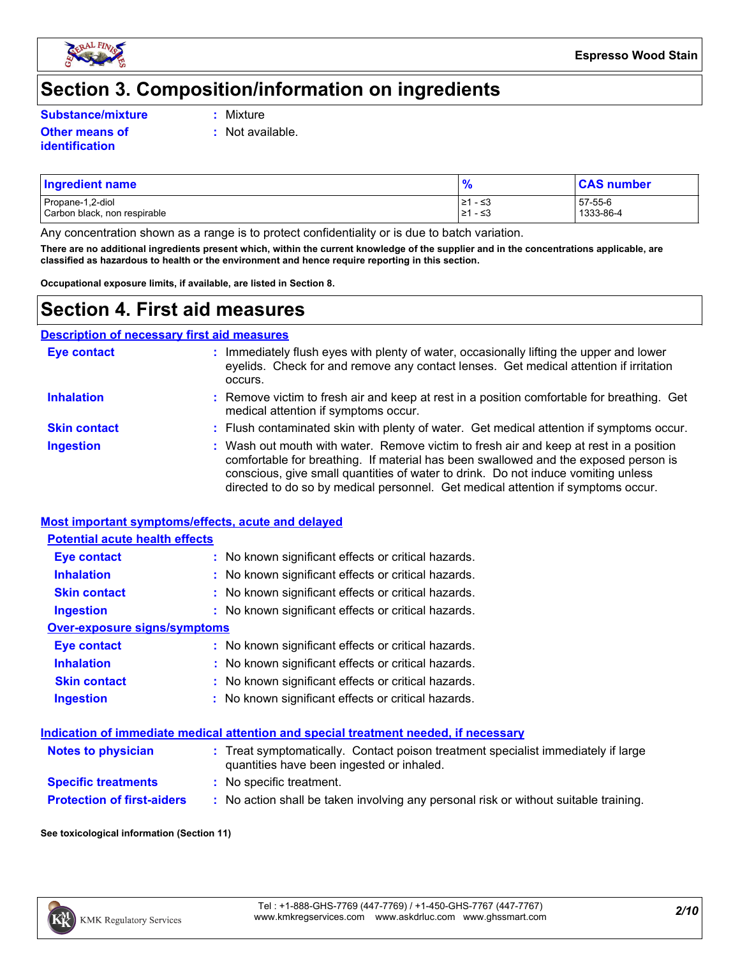

### **Section 3. Composition/information on ingredients**

**Substance/mixture :**

**Other means of identification**

- Mixture
- **:** Not available.

### Propane-1,2-diol  $\begin{array}{|l|l|}\n\hline\n&21 & -53 \\
\hline\n&21 & -53\n\end{array}$  57-55-6  $\begin{array}{|l|l|}\n\hline\n&21 & -53 \\
\hline\n&21 & -53\n\end{array}$  57-55-6 1333-86-4 Carbon black, non respirable **Ingredient name % CAS number**

Any concentration shown as a range is to protect confidentiality or is due to batch variation.

**There are no additional ingredients present which, within the current knowledge of the supplier and in the concentrations applicable, are classified as hazardous to health or the environment and hence require reporting in this section.**

**Occupational exposure limits, if available, are listed in Section 8.**

### **Section 4. First aid measures**

| <b>Description of necessary first aid measures</b> |                                                                                                                                                                                                                                                                                                                                                        |
|----------------------------------------------------|--------------------------------------------------------------------------------------------------------------------------------------------------------------------------------------------------------------------------------------------------------------------------------------------------------------------------------------------------------|
| <b>Eye contact</b>                                 | Immediately flush eyes with plenty of water, occasionally lifting the upper and lower<br>eyelids. Check for and remove any contact lenses. Get medical attention if irritation<br>occurs.                                                                                                                                                              |
| <b>Inhalation</b>                                  | : Remove victim to fresh air and keep at rest in a position comfortable for breathing. Get<br>medical attention if symptoms occur.                                                                                                                                                                                                                     |
| <b>Skin contact</b>                                | : Flush contaminated skin with plenty of water. Get medical attention if symptoms occur.                                                                                                                                                                                                                                                               |
| <b>Ingestion</b>                                   | : Wash out mouth with water. Remove victim to fresh air and keep at rest in a position<br>comfortable for breathing. If material has been swallowed and the exposed person is<br>conscious, give small quantities of water to drink. Do not induce vomiting unless<br>directed to do so by medical personnel. Get medical attention if symptoms occur. |

#### **Most important symptoms/effects, acute and delayed**

#### **Potential acute health effects**

| <b>Eye contact</b>           | : No known significant effects or critical hazards. |
|------------------------------|-----------------------------------------------------|
| <b>Inhalation</b>            | : No known significant effects or critical hazards. |
| <b>Skin contact</b>          | : No known significant effects or critical hazards. |
| <b>Ingestion</b>             | : No known significant effects or critical hazards. |
| Over-exposure signs/symptoms |                                                     |
| <b>Eye contact</b>           | : No known significant effects or critical hazards. |
| <b>Inhalation</b>            | : No known significant effects or critical hazards. |
| <b>Skin contact</b>          | : No known significant effects or critical hazards. |

| <b>Ingestion</b> | : No known significant effects or critical hazards. |
|------------------|-----------------------------------------------------|
|------------------|-----------------------------------------------------|

#### **Indication of immediate medical attention and special treatment needed, if necessary**

| <b>Notes to physician</b>         | : Treat symptomatically. Contact poison treatment specialist immediately if large<br>quantities have been ingested or inhaled. |
|-----------------------------------|--------------------------------------------------------------------------------------------------------------------------------|
| <b>Specific treatments</b>        | : No specific treatment.                                                                                                       |
| <b>Protection of first-aiders</b> | : No action shall be taken involving any personal risk or without suitable training.                                           |

**See toxicological information (Section 11)**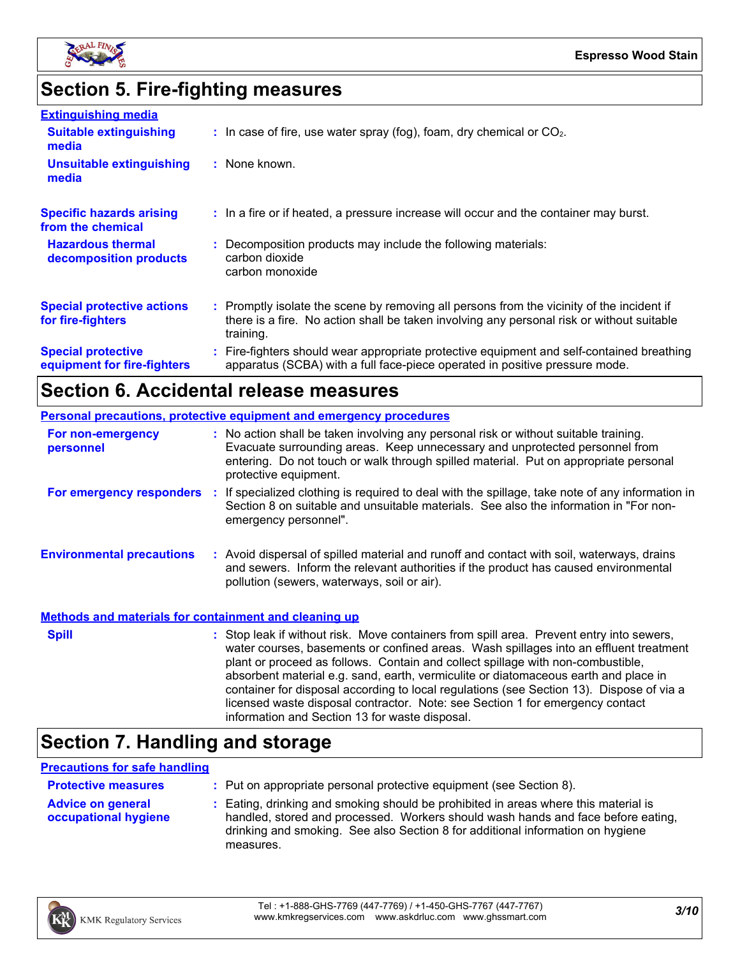

# **Section 5. Fire-fighting measures**

| <b>Extinguishing media</b>                               |                                                                                                                                                                                                     |
|----------------------------------------------------------|-----------------------------------------------------------------------------------------------------------------------------------------------------------------------------------------------------|
| <b>Suitable extinguishing</b><br>media                   | $\therefore$ In case of fire, use water spray (fog), foam, dry chemical or CO <sub>2</sub> .                                                                                                        |
| <b>Unsuitable extinguishing</b><br>media                 | : None known.                                                                                                                                                                                       |
| <b>Specific hazards arising</b><br>from the chemical     | : In a fire or if heated, a pressure increase will occur and the container may burst.                                                                                                               |
| <b>Hazardous thermal</b><br>decomposition products       | : Decomposition products may include the following materials:<br>carbon dioxide<br>carbon monoxide                                                                                                  |
| <b>Special protective actions</b><br>for fire-fighters   | : Promptly isolate the scene by removing all persons from the vicinity of the incident if<br>there is a fire. No action shall be taken involving any personal risk or without suitable<br>training. |
| <b>Special protective</b><br>equipment for fire-fighters | : Fire-fighters should wear appropriate protective equipment and self-contained breathing<br>apparatus (SCBA) with a full face-piece operated in positive pressure mode.                            |

### **Section 6. Accidental release measures**

|                                                              | <b>Personal precautions, protective equipment and emergency procedures</b>                                                                                                                                                                                                                                                                                                                                                                                                                                                                                                                 |
|--------------------------------------------------------------|--------------------------------------------------------------------------------------------------------------------------------------------------------------------------------------------------------------------------------------------------------------------------------------------------------------------------------------------------------------------------------------------------------------------------------------------------------------------------------------------------------------------------------------------------------------------------------------------|
| For non-emergency<br>personnel                               | : No action shall be taken involving any personal risk or without suitable training.<br>Evacuate surrounding areas. Keep unnecessary and unprotected personnel from<br>entering. Do not touch or walk through spilled material. Put on appropriate personal<br>protective equipment.                                                                                                                                                                                                                                                                                                       |
|                                                              | For emergency responders : If specialized clothing is required to deal with the spillage, take note of any information in<br>Section 8 on suitable and unsuitable materials. See also the information in "For non-<br>emergency personnel".                                                                                                                                                                                                                                                                                                                                                |
| <b>Environmental precautions</b>                             | : Avoid dispersal of spilled material and runoff and contact with soil, waterways, drains<br>and sewers. Inform the relevant authorities if the product has caused environmental<br>pollution (sewers, waterways, soil or air).                                                                                                                                                                                                                                                                                                                                                            |
| <b>Methods and materials for containment and cleaning up</b> |                                                                                                                                                                                                                                                                                                                                                                                                                                                                                                                                                                                            |
| <b>Spill</b>                                                 | : Stop leak if without risk. Move containers from spill area. Prevent entry into sewers,<br>water courses, basements or confined areas. Wash spillages into an effluent treatment<br>plant or proceed as follows. Contain and collect spillage with non-combustible,<br>absorbent material e.g. sand, earth, vermiculite or diatomaceous earth and place in<br>container for disposal according to local regulations (see Section 13). Dispose of via a<br>licensed waste disposal contractor. Note: see Section 1 for emergency contact<br>information and Section 13 for waste disposal. |

# **Section 7. Handling and storage**

#### **Precautions for safe handling**

| <b>Protective measures</b>                       | : Put on appropriate personal protective equipment (see Section 8).                                                                                                                                                                                                    |  |
|--------------------------------------------------|------------------------------------------------------------------------------------------------------------------------------------------------------------------------------------------------------------------------------------------------------------------------|--|
| <b>Advice on general</b><br>occupational hygiene | : Eating, drinking and smoking should be prohibited in areas where this material is<br>handled, stored and processed. Workers should wash hands and face before eating,<br>drinking and smoking. See also Section 8 for additional information on hygiene<br>measures. |  |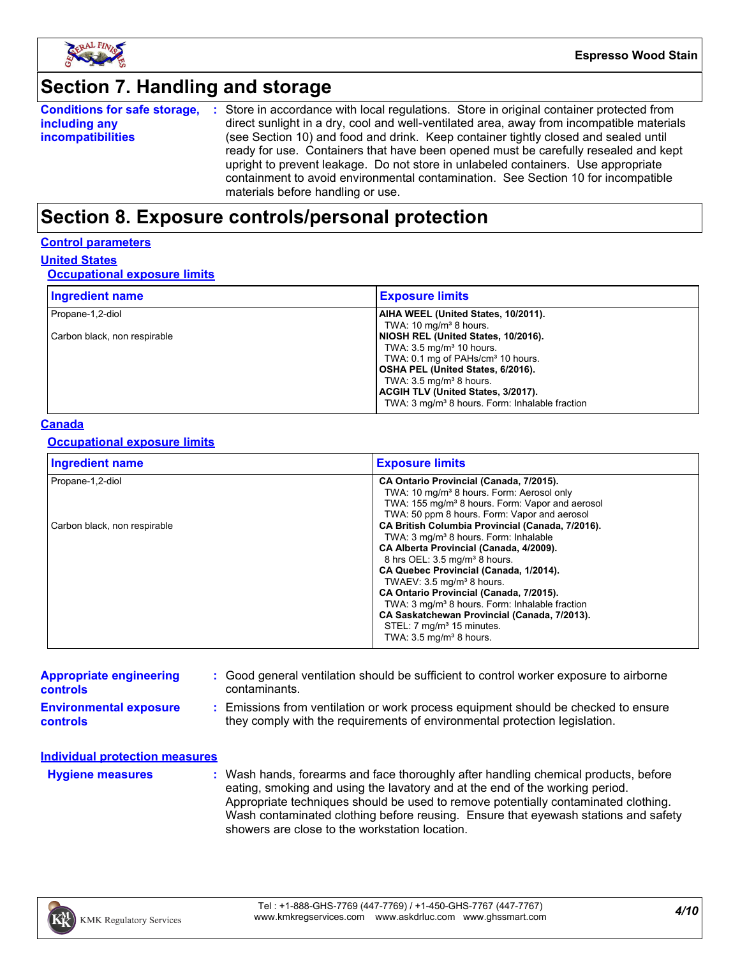

## **Section 7. Handling and storage**

|                          | <b>Conditions for safe storage, :</b> Store in accordance with local regulations. Store in original container protected from |
|--------------------------|------------------------------------------------------------------------------------------------------------------------------|
| including any            | direct sunlight in a dry, cool and well-ventilated area, away from incompatible materials                                    |
| <b>incompatibilities</b> | (see Section 10) and food and drink. Keep container tightly closed and sealed until                                          |
|                          | ready for use. Containers that have been opened must be carefully resealed and kept                                          |
|                          | upright to prevent leakage. Do not store in unlabeled containers. Use appropriate                                            |
|                          | containment to avoid environmental contamination. See Section 10 for incompatible                                            |
|                          | materials before handling or use.                                                                                            |

### **Section 8. Exposure controls/personal protection**

#### **Control parameters**

**United States**

#### **Occupational exposure limits**

| <b>Ingredient name</b>       | <b>Exposure limits</b>                                     |
|------------------------------|------------------------------------------------------------|
| Propane-1,2-diol             | AIHA WEEL (United States, 10/2011).                        |
|                              | TWA: $10 \text{ mg/m}^3$ 8 hours.                          |
| Carbon black, non respirable | NIOSH REL (United States, 10/2016).                        |
|                              | TWA: $3.5 \text{ mg/m}^3$ 10 hours.                        |
|                              | TWA: 0.1 mg of PAHs/cm <sup>3</sup> 10 hours.              |
|                              | OSHA PEL (United States, 6/2016).                          |
|                              | TWA: $3.5 \text{ mg/m}^3$ 8 hours.                         |
|                              | ACGIH TLV (United States, 3/2017).                         |
|                              | TWA: 3 mg/m <sup>3</sup> 8 hours. Form: Inhalable fraction |

#### **Canada**

#### **Occupational exposure limits**

| <b>Ingredient name</b>       | <b>Exposure limits</b>                                                                                                                                                                                                                                                                                                                                                                                                                                                                                                   |
|------------------------------|--------------------------------------------------------------------------------------------------------------------------------------------------------------------------------------------------------------------------------------------------------------------------------------------------------------------------------------------------------------------------------------------------------------------------------------------------------------------------------------------------------------------------|
| Propane-1,2-diol             | CA Ontario Provincial (Canada, 7/2015).<br>TWA: 10 mg/m <sup>3</sup> 8 hours. Form: Aerosol only<br>TWA: 155 mg/m <sup>3</sup> 8 hours. Form: Vapor and aerosol<br>TWA: 50 ppm 8 hours. Form: Vapor and aerosol                                                                                                                                                                                                                                                                                                          |
| Carbon black, non respirable | CA British Columbia Provincial (Canada, 7/2016).<br>TWA: 3 mg/m <sup>3</sup> 8 hours. Form: Inhalable<br>CA Alberta Provincial (Canada, 4/2009).<br>8 hrs OEL: 3.5 mg/m <sup>3</sup> 8 hours.<br>CA Quebec Provincial (Canada, 1/2014).<br>TWAEV: 3.5 mg/m <sup>3</sup> 8 hours.<br>CA Ontario Provincial (Canada, 7/2015).<br>TWA: 3 mg/m <sup>3</sup> 8 hours. Form: Inhalable fraction<br>CA Saskatchewan Provincial (Canada, 7/2013).<br>STEL: 7 mg/m <sup>3</sup> 15 minutes.<br>TWA: $3.5 \text{ mg/m}^3$ 8 hours. |

| <b>Appropriate engineering</b><br><b>controls</b> | : Good general ventilation should be sufficient to control worker exposure to airborne<br>contaminants.                                                          |
|---------------------------------------------------|------------------------------------------------------------------------------------------------------------------------------------------------------------------|
| <b>Environmental exposure</b><br><b>controls</b>  | : Emissions from ventilation or work process equipment should be checked to ensure<br>they comply with the requirements of environmental protection legislation. |
| Individual protection measures                    |                                                                                                                                                                  |
| <b>Hygiene measures</b>                           | Wash hands, forearms and face thoroughly after handling chemical products, before                                                                                |

Wash hands, forearms and face thoroughly after handling chemical products, before eating, smoking and using the lavatory and at the end of the working period. Appropriate techniques should be used to remove potentially contaminated clothing. Wash contaminated clothing before reusing. Ensure that eyewash stations and safety showers are close to the workstation location. **Hygiene measures :** Wash han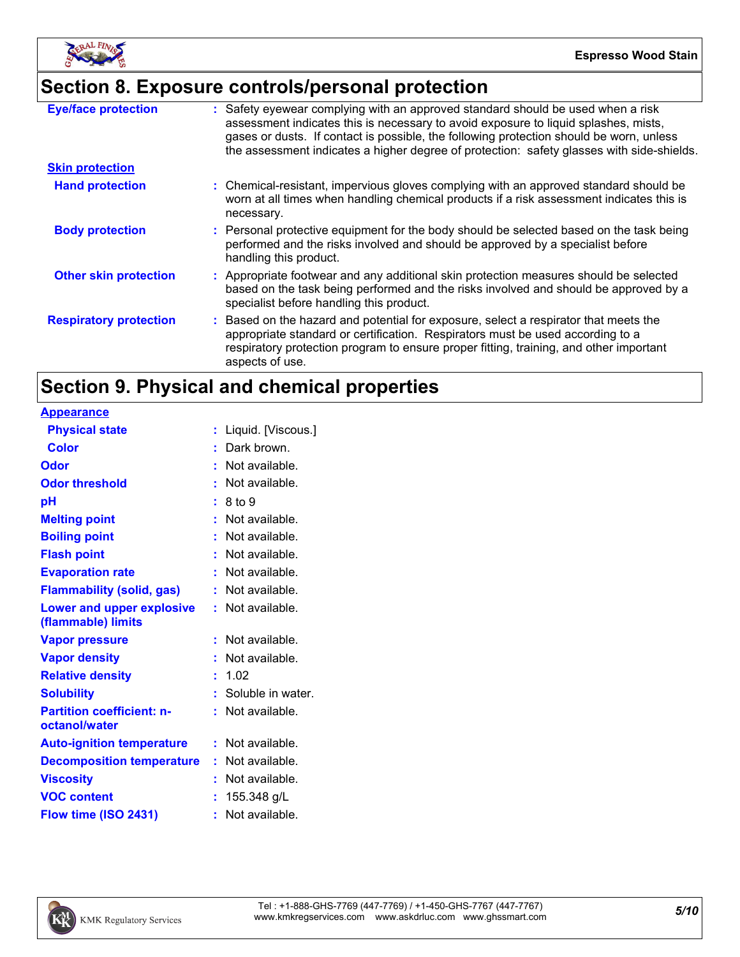

# **Section 8. Exposure controls/personal protection**

| <b>Eye/face protection</b>    | : Safety eyewear complying with an approved standard should be used when a risk<br>assessment indicates this is necessary to avoid exposure to liquid splashes, mists,<br>gases or dusts. If contact is possible, the following protection should be worn, unless<br>the assessment indicates a higher degree of protection: safety glasses with side-shields. |
|-------------------------------|----------------------------------------------------------------------------------------------------------------------------------------------------------------------------------------------------------------------------------------------------------------------------------------------------------------------------------------------------------------|
| <b>Skin protection</b>        |                                                                                                                                                                                                                                                                                                                                                                |
| <b>Hand protection</b>        | : Chemical-resistant, impervious gloves complying with an approved standard should be<br>worn at all times when handling chemical products if a risk assessment indicates this is<br>necessary.                                                                                                                                                                |
| <b>Body protection</b>        | : Personal protective equipment for the body should be selected based on the task being<br>performed and the risks involved and should be approved by a specialist before<br>handling this product.                                                                                                                                                            |
| <b>Other skin protection</b>  | : Appropriate footwear and any additional skin protection measures should be selected<br>based on the task being performed and the risks involved and should be approved by a<br>specialist before handling this product.                                                                                                                                      |
| <b>Respiratory protection</b> | : Based on the hazard and potential for exposure, select a respirator that meets the<br>appropriate standard or certification. Respirators must be used according to a<br>respiratory protection program to ensure proper fitting, training, and other important<br>aspects of use.                                                                            |

## **Section 9. Physical and chemical properties**

| <b>Appearance</b>                                 |    |                     |
|---------------------------------------------------|----|---------------------|
| <b>Physical state</b>                             | t. | Liquid. [Viscous.]  |
| <b>Color</b>                                      |    | Dark brown.         |
| Odor                                              |    | Not available.      |
| <b>Odor threshold</b>                             |    | Not available.      |
| рH                                                |    | 8 to 9              |
| <b>Melting point</b>                              |    | Not available.      |
| <b>Boiling point</b>                              |    | Not available.      |
| <b>Flash point</b>                                |    | Not available.      |
| <b>Evaporation rate</b>                           |    | Not available.      |
| <b>Flammability (solid, gas)</b>                  |    | Not available.      |
| <b>Lower and upper explosive</b>                  | t. | Not available.      |
| (flammable) limits                                |    |                     |
| <b>Vapor pressure</b>                             | ÷  | Not available.      |
| <b>Vapor density</b>                              |    | Not available.      |
| <b>Relative density</b>                           |    | 1.02                |
| <b>Solubility</b>                                 |    | : Soluble in water. |
| <b>Partition coefficient: n-</b><br>octanol/water |    | Not available.      |
| <b>Auto-ignition temperature</b>                  |    | $:$ Not available.  |
| <b>Decomposition temperature</b>                  | ÷. | Not available.      |
| <b>Viscosity</b>                                  |    | Not available.      |
| <b>VOC content</b>                                |    | 155.348 g/L         |
| Flow time (ISO 2431)                              |    | Not available.      |

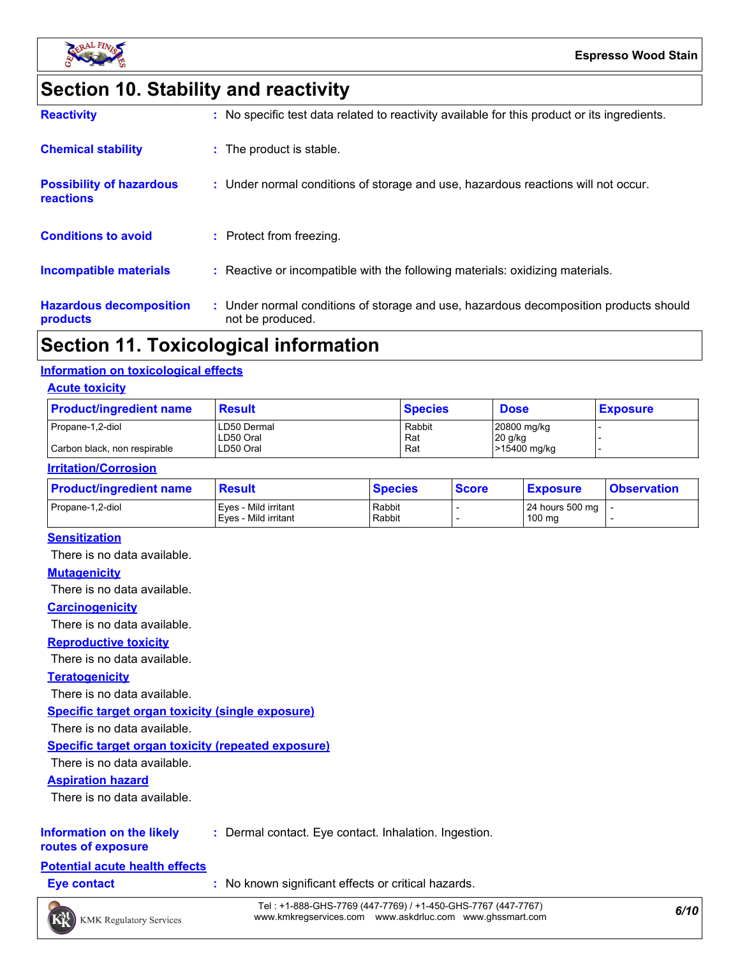

# **Section 10. Stability and reactivity**

| <b>Reactivity</b>                            | : No specific test data related to reactivity available for this product or its ingredients.              |
|----------------------------------------------|-----------------------------------------------------------------------------------------------------------|
| <b>Chemical stability</b>                    | : The product is stable.                                                                                  |
| <b>Possibility of hazardous</b><br>reactions | : Under normal conditions of storage and use, hazardous reactions will not occur.                         |
| <b>Conditions to avoid</b>                   | : Protect from freezing.                                                                                  |
| Incompatible materials                       | : Reactive or incompatible with the following materials: oxidizing materials.                             |
| <b>Hazardous decomposition</b><br>products   | : Under normal conditions of storage and use, hazardous decomposition products should<br>not be produced. |

### **Section 11. Toxicological information**

#### **Information on toxicological effects**

#### **Acute toxicity**

| <b>Product/ingredient name</b> | <b>Result</b>            | <b>Species</b> | <b>Dose</b>              | <b>Exposure</b> |  |
|--------------------------------|--------------------------|----------------|--------------------------|-----------------|--|
| Propane-1,2-diol               | LD50 Dermal<br>LD50 Oral | Rabbit<br>Rat  | 20800 mg/kg<br>$20$ g/kg |                 |  |
| Carbon black, non respirable   | LD50 Oral                | Rat            | >15400 mg/kg             |                 |  |

#### **Irritation/Corrosion**

| <b>Product/ingredient name</b> | <b>Result</b>                                | <b>Species</b>   | <b>Score</b> | <b>Exposure</b>                               | <b>Observation</b> |
|--------------------------------|----------------------------------------------|------------------|--------------|-----------------------------------------------|--------------------|
| Propane-1.2-diol               | Eves - Mild irritant<br>Eyes - Mild irritant | Rabbit<br>Rabbit |              | 24 hours 500 mg $\vert$ -<br>$100 \text{ mg}$ |                    |

#### **Sensitization**

There is no data available.

#### **Mutagenicity**

There is no data available.

#### **Carcinogenicity**

There is no data available.

#### **Reproductive toxicity**

There is no data available.

#### **Teratogenicity**

There is no data available.

**Specific target organ toxicity (single exposure)**

There is no data available.

#### **Specific target organ toxicity (repeated exposure)**

There is no data available.

#### **Aspiration hazard**

There is no data available.

#### **Information on the likely :** Dermal contact. Eye contact. Inhalation. Ingestion.

**routes of exposure**

#### **Potential acute health effects**

**Eye contact :** No known significant effects or critical hazards.

*6/10* Tel : +1-888-GHS-7769 (447-7769) / +1-450-GHS-7767 (447-7767) www.kmkregservices.com www.askdrluc.com www.ghssmart.com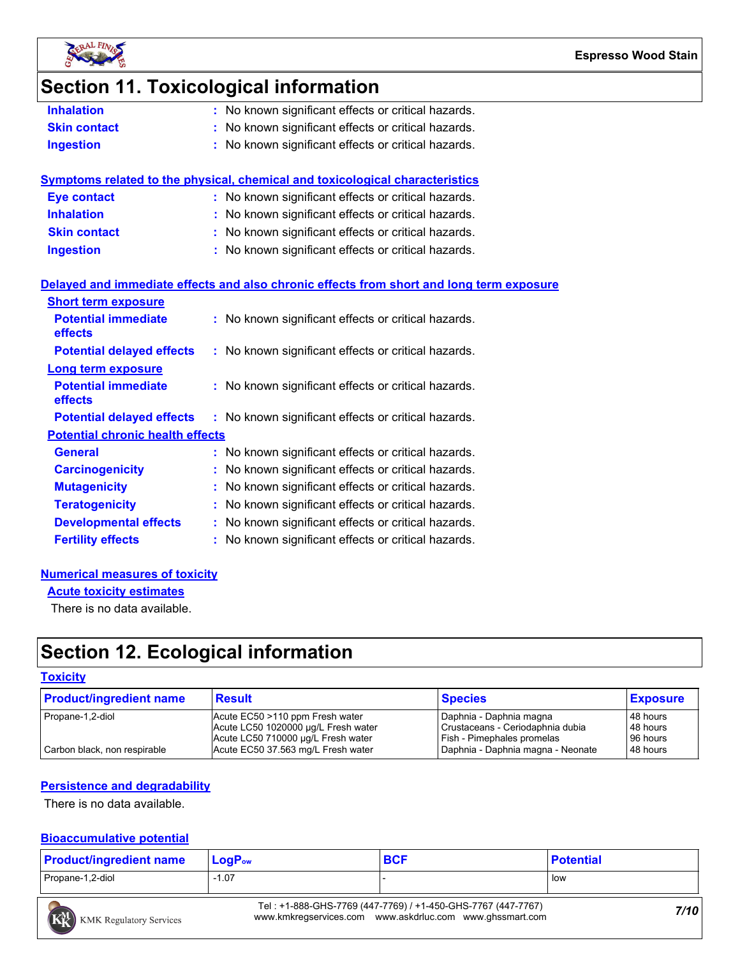

### **Section 11. Toxicological information**

| No known significant effects or critical hazards.<br><b>Inhalation</b> |  |
|------------------------------------------------------------------------|--|
|------------------------------------------------------------------------|--|

- **Skin contact :** No known significant effects or critical hazards.
- **Ingestion :** No known significant effects or critical hazards.

| Symptoms related to the physical, chemical and toxicological characteristics |                                                     |  |  |
|------------------------------------------------------------------------------|-----------------------------------------------------|--|--|
| <b>Eye contact</b>                                                           | : No known significant effects or critical hazards. |  |  |
| <b>Inhalation</b>                                                            | : No known significant effects or critical hazards. |  |  |
| <b>Skin contact</b>                                                          | : No known significant effects or critical hazards. |  |  |
| <b>Ingestion</b>                                                             | : No known significant effects or critical hazards. |  |  |
|                                                                              |                                                     |  |  |

#### **Delayed and immediate effects and also chronic effects from short and long term exposure**

| <b>Short term exposure</b>                   |                                                     |
|----------------------------------------------|-----------------------------------------------------|
| <b>Potential immediate</b><br><b>effects</b> | : No known significant effects or critical hazards. |
| <b>Potential delayed effects</b>             | : No known significant effects or critical hazards. |
| Long term exposure                           |                                                     |
| <b>Potential immediate</b><br><b>effects</b> | : No known significant effects or critical hazards. |
| <b>Potential delayed effects</b>             | : No known significant effects or critical hazards. |
| <b>Potential chronic health effects</b>      |                                                     |
| General                                      | : No known significant effects or critical hazards. |
| <b>Carcinogenicity</b>                       | : No known significant effects or critical hazards. |
| <b>Mutagenicity</b>                          | : No known significant effects or critical hazards. |
| <b>Teratogenicity</b>                        | : No known significant effects or critical hazards. |
| <b>Developmental effects</b>                 | : No known significant effects or critical hazards. |
| <b>Fertility effects</b>                     | : No known significant effects or critical hazards. |

#### **Numerical measures of toxicity**

**Acute toxicity estimates**

There is no data available.

## **Section 12. Ecological information**

#### **Toxicity**

| <b>Product/ingredient name</b> | <b>Result</b>                                                                                                | <b>Species</b>                                                                                   | <b>Exposure</b>                  |
|--------------------------------|--------------------------------------------------------------------------------------------------------------|--------------------------------------------------------------------------------------------------|----------------------------------|
| Propane-1,2-diol               | Acute EC50 >110 ppm Fresh water<br>Acute LC50 1020000 µg/L Fresh water<br>Acute LC50 710000 µg/L Fresh water | Daphnia - Daphnia magna<br>Crustaceans - Ceriodaphnia dubia<br><b>Fish - Pimephales promelas</b> | 48 hours<br>48 hours<br>96 hours |
| Carbon black, non respirable   | Acute EC50 37.563 mg/L Fresh water                                                                           | Daphnia - Daphnia magna - Neonate                                                                | 48 hours                         |

#### **Persistence and degradability**

There is no data available.

#### **Bioaccumulative potential**

| <b>Product/ingredient name</b> | $\mathsf{LogP}_\mathsf{ow}$ | <b>BCF</b> | <b>Potential</b> |
|--------------------------------|-----------------------------|------------|------------------|
| Propane-1,2-diol               | $-1.07$                     |            | . Iow            |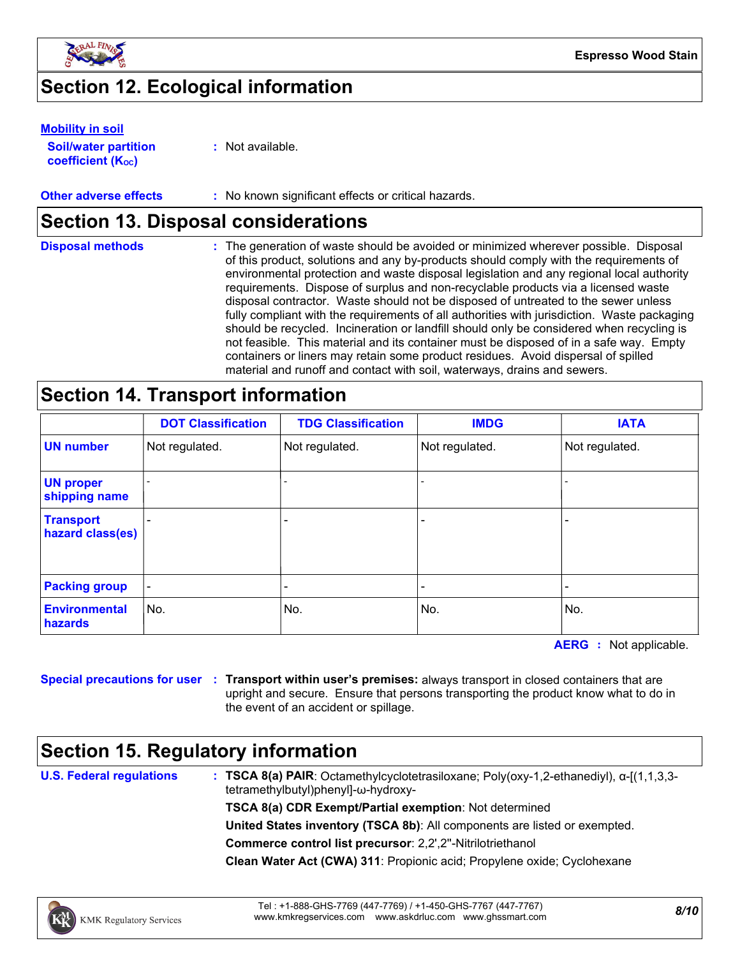

### **Section 12. Ecological information**

#### **Mobility in soil**

**Soil/water partition coefficient (KOC)**

**:** Not available.

#### **Other adverse effects** : No known significant effects or critical hazards.

### **Section 13. Disposal considerations**

| <b>Disposal methods</b> | : The generation of waste should be avoided or minimized wherever possible. Disposal<br>of this product, solutions and any by-products should comply with the requirements of<br>environmental protection and waste disposal legislation and any regional local authority<br>requirements. Dispose of surplus and non-recyclable products via a licensed waste<br>disposal contractor. Waste should not be disposed of untreated to the sewer unless<br>fully compliant with the requirements of all authorities with jurisdiction. Waste packaging<br>should be recycled. Incineration or landfill should only be considered when recycling is<br>not feasible. This material and its container must be disposed of in a safe way. Empty<br>containers or liners may retain some product residues. Avoid dispersal of spilled |
|-------------------------|--------------------------------------------------------------------------------------------------------------------------------------------------------------------------------------------------------------------------------------------------------------------------------------------------------------------------------------------------------------------------------------------------------------------------------------------------------------------------------------------------------------------------------------------------------------------------------------------------------------------------------------------------------------------------------------------------------------------------------------------------------------------------------------------------------------------------------|
|                         | material and runoff and contact with soil, waterways, drains and sewers.                                                                                                                                                                                                                                                                                                                                                                                                                                                                                                                                                                                                                                                                                                                                                       |

### **Section 14. Transport information**

|                                      | <b>DOT Classification</b> | <b>TDG Classification</b> | <b>IMDG</b>    | <b>IATA</b>    |
|--------------------------------------|---------------------------|---------------------------|----------------|----------------|
| <b>UN number</b>                     | Not regulated.            | Not regulated.            | Not regulated. | Not regulated. |
| <b>UN proper</b><br>shipping name    |                           | $\overline{a}$            |                |                |
| <b>Transport</b><br>hazard class(es) |                           |                           |                |                |
| <b>Packing group</b>                 |                           |                           |                | -              |
| <b>Environmental</b><br>hazards      | No.                       | No.                       | No.            | No.            |

**AERG :** Not applicable.

**Special precautions for user Transport within user's premises:** always transport in closed containers that are **:** upright and secure. Ensure that persons transporting the product know what to do in the event of an accident or spillage.

### **Section 15. Regulatory information**

**U.S. Federal regulations**

**: TSCA 8(a) PAIR**: Octamethylcyclotetrasiloxane; Poly(oxy-1,2-ethanediyl), α-[(1,1,3,3 tetramethylbutyl)phenyl]-ω-hydroxy-

**TSCA 8(a) CDR Exempt/Partial exemption**: Not determined

**United States inventory (TSCA 8b)**: All components are listed or exempted.

**Commerce control list precursor**: 2,2',2''-Nitrilotriethanol

**Clean Water Act (CWA) 311**: Propionic acid; Propylene oxide; Cyclohexane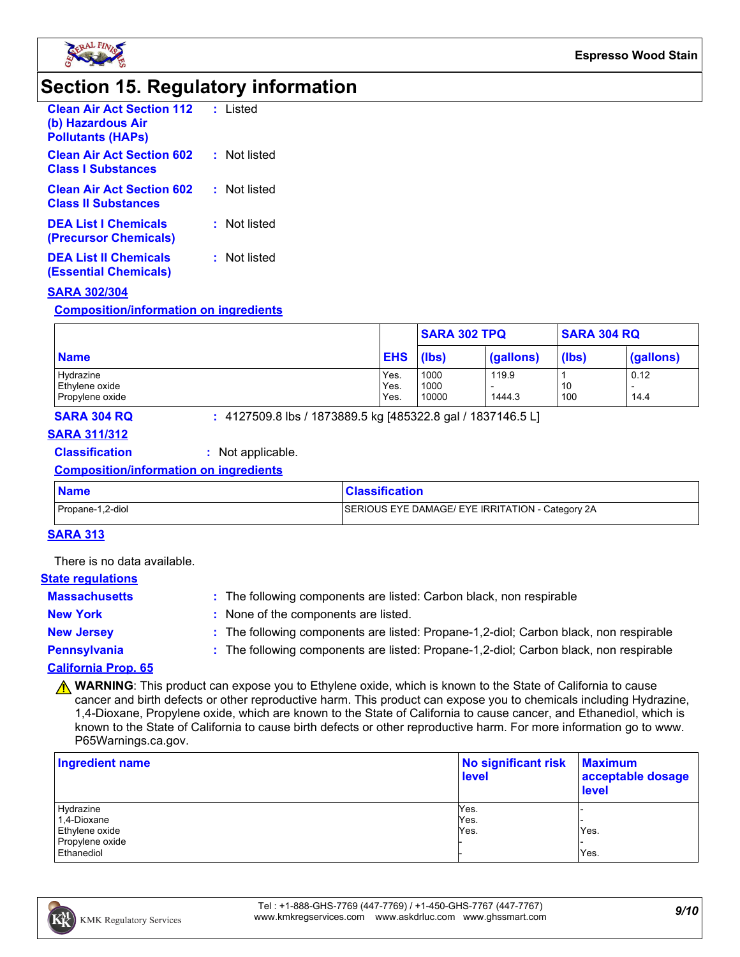

### **Section 15. Regulatory information**

| <b>Clean Air Act Section 112</b><br>(b) Hazardous Air<br><b>Pollutants (HAPS)</b> | : Listed     |
|-----------------------------------------------------------------------------------|--------------|
| <b>Clean Air Act Section 602</b><br><b>Class   Substances</b>                     | : Not listed |
| <b>Clean Air Act Section 602</b><br><b>Class II Substances</b>                    | : Not listed |
| <b>DEA List   Chemicals</b><br>(Precursor Chemicals)                              | : Not listed |
| <b>DEA List II Chemicals</b><br>(Essential Chemicals)                             | : Not listed |

#### **SARA 302/304**

**Composition/information on ingredients**

|                 |            | <b>SARA 302 TPQ</b> |           | <b>SARA 304 RQ</b> |                          |
|-----------------|------------|---------------------|-----------|--------------------|--------------------------|
| <b>Name</b>     | <b>EHS</b> | (lbs)               | (gallons) | (lbs)              | (gallons)                |
| Hydrazine       | Yes.       | 1000                | 119.9     |                    | 0.12                     |
| Ethylene oxide  | Yes.       | 1000                |           | 10                 | $\overline{\phantom{0}}$ |
| Propylene oxide | Yes.       | 10000               | 1444.3    | 100                | 14.4                     |

**SARA 304 RQ :** 4127509.8 lbs / 1873889.5 kg [485322.8 gal / 1837146.5 L]

### **SARA 311/312**

#### **Classification :** Not applicable.

#### **Composition/information on ingredients**

| <b>Name</b>      | <b>Classification</b>                            |
|------------------|--------------------------------------------------|
| Propane-1,2-diol | SERIOUS EYE DAMAGE/ EYE IRRITATION - Category 2A |

#### **SARA 313**

There is no data available.

#### **State regulations**

| <b>Massachusetts</b>       | : The following components are listed: Carbon black, non respirable                   |
|----------------------------|---------------------------------------------------------------------------------------|
| <b>New York</b>            | None of the components are listed.                                                    |
| <b>New Jersey</b>          | : The following components are listed: Propane-1,2-diol; Carbon black, non respirable |
| Pennsylvania               | : The following components are listed: Propane-1,2-diol; Carbon black, non respirable |
| <b>CALIFARNIA BOARD OF</b> |                                                                                       |

#### **California Prop. 65**

**A WARNING**: This product can expose you to Ethylene oxide, which is known to the State of California to cause cancer and birth defects or other reproductive harm. This product can expose you to chemicals including Hydrazine, 1,4-Dioxane, Propylene oxide, which are known to the State of California to cause cancer, and Ethanediol, which is known to the State of California to cause birth defects or other reproductive harm. For more information go to www. P65Warnings.ca.gov.

| <b>Ingredient name</b> | No significant risk<br>level | <b>Maximum</b><br>acceptable dosage<br>level |
|------------------------|------------------------------|----------------------------------------------|
| Hydrazine              | Yes.                         |                                              |
| 1,4-Dioxane            | Yes.                         |                                              |
| Ethylene oxide         | Yes.                         | Yes.                                         |
| Propylene oxide        |                              |                                              |
| Ethanediol             |                              | Yes.                                         |